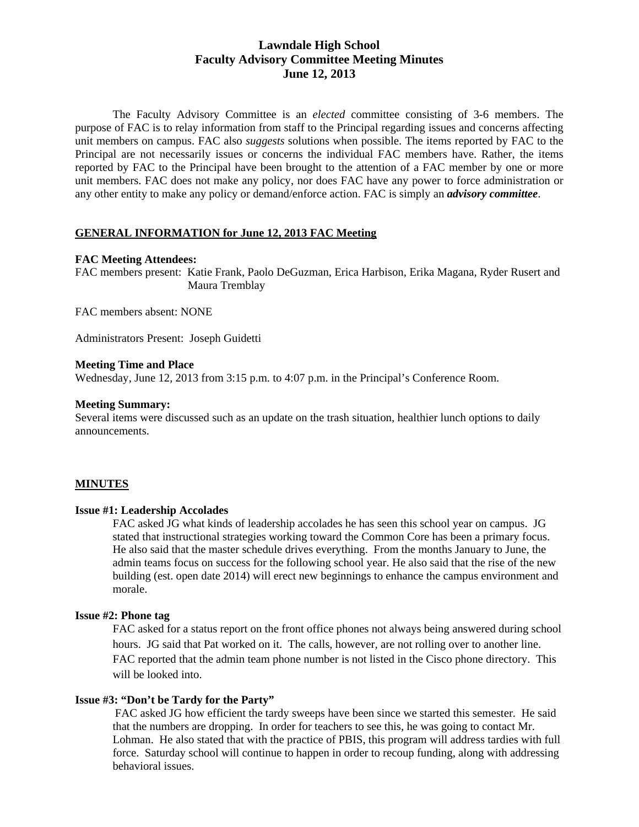# **Lawndale High School Faculty Advisory Committee Meeting Minutes June 12, 2013**

The Faculty Advisory Committee is an *elected* committee consisting of 3-6 members. The purpose of FAC is to relay information from staff to the Principal regarding issues and concerns affecting unit members on campus. FAC also *suggests* solutions when possible. The items reported by FAC to the Principal are not necessarily issues or concerns the individual FAC members have. Rather, the items reported by FAC to the Principal have been brought to the attention of a FAC member by one or more unit members. FAC does not make any policy, nor does FAC have any power to force administration or any other entity to make any policy or demand/enforce action. FAC is simply an *advisory committee*.

### **GENERAL INFORMATION for June 12, 2013 FAC Meeting**

### **FAC Meeting Attendees:**

FAC members present: Katie Frank, Paolo DeGuzman, Erica Harbison, Erika Magana, Ryder Rusert and Maura Tremblay

FAC members absent: NONE

Administrators Present: Joseph Guidetti

#### **Meeting Time and Place**

Wednesday, June 12, 2013 from 3:15 p.m. to 4:07 p.m. in the Principal's Conference Room.

#### **Meeting Summary:**

Several items were discussed such as an update on the trash situation, healthier lunch options to daily announcements.

#### **MINUTES**

#### **Issue #1: Leadership Accolades**

FAC asked JG what kinds of leadership accolades he has seen this school year on campus. JG stated that instructional strategies working toward the Common Core has been a primary focus. He also said that the master schedule drives everything. From the months January to June, the admin teams focus on success for the following school year. He also said that the rise of the new building (est. open date 2014) will erect new beginnings to enhance the campus environment and morale.

### **Issue #2: Phone tag**

FAC asked for a status report on the front office phones not always being answered during school hours. JG said that Pat worked on it. The calls, however, are not rolling over to another line. FAC reported that the admin team phone number is not listed in the Cisco phone directory. This will be looked into.

### **Issue #3: "Don't be Tardy for the Party"**

FAC asked JG how efficient the tardy sweeps have been since we started this semester. He said that the numbers are dropping. In order for teachers to see this, he was going to contact Mr. Lohman. He also stated that with the practice of PBIS, this program will address tardies with full force. Saturday school will continue to happen in order to recoup funding, along with addressing behavioral issues.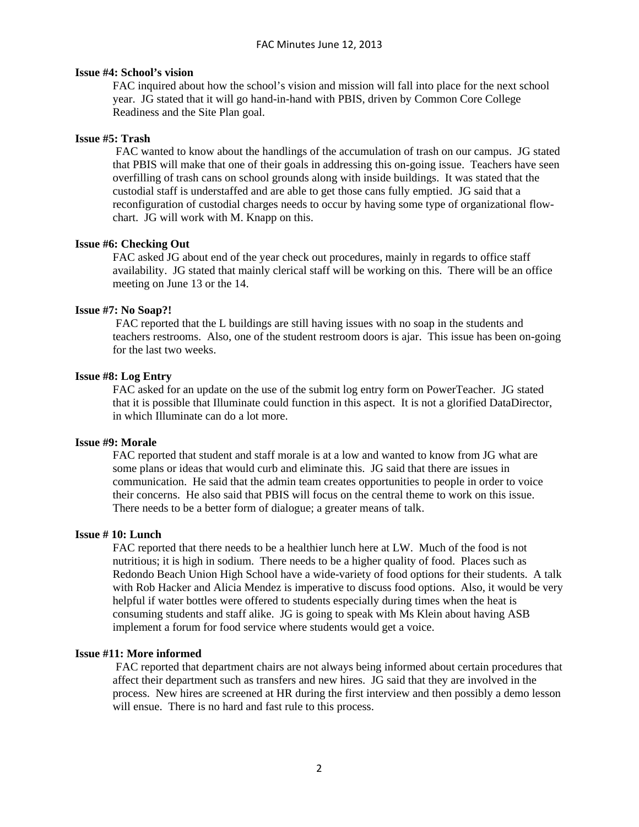### **Issue #4: School's vision**

FAC inquired about how the school's vision and mission will fall into place for the next school year. JG stated that it will go hand-in-hand with PBIS, driven by Common Core College Readiness and the Site Plan goal.

### **Issue #5: Trash**

FAC wanted to know about the handlings of the accumulation of trash on our campus. JG stated that PBIS will make that one of their goals in addressing this on-going issue. Teachers have seen overfilling of trash cans on school grounds along with inside buildings. It was stated that the custodial staff is understaffed and are able to get those cans fully emptied. JG said that a reconfiguration of custodial charges needs to occur by having some type of organizational flowchart. JG will work with M. Knapp on this.

### **Issue #6: Checking Out**

FAC asked JG about end of the year check out procedures, mainly in regards to office staff availability. JG stated that mainly clerical staff will be working on this. There will be an office meeting on June 13 or the 14.

### **Issue #7: No Soap?!**

FAC reported that the L buildings are still having issues with no soap in the students and teachers restrooms. Also, one of the student restroom doors is ajar. This issue has been on-going for the last two weeks.

### **Issue #8: Log Entry**

FAC asked for an update on the use of the submit log entry form on PowerTeacher. JG stated that it is possible that Illuminate could function in this aspect. It is not a glorified DataDirector, in which Illuminate can do a lot more.

#### **Issue #9: Morale**

FAC reported that student and staff morale is at a low and wanted to know from JG what are some plans or ideas that would curb and eliminate this. JG said that there are issues in communication. He said that the admin team creates opportunities to people in order to voice their concerns. He also said that PBIS will focus on the central theme to work on this issue. There needs to be a better form of dialogue; a greater means of talk.

#### **Issue # 10: Lunch**

FAC reported that there needs to be a healthier lunch here at LW. Much of the food is not nutritious; it is high in sodium. There needs to be a higher quality of food. Places such as Redondo Beach Union High School have a wide-variety of food options for their students. A talk with Rob Hacker and Alicia Mendez is imperative to discuss food options. Also, it would be very helpful if water bottles were offered to students especially during times when the heat is consuming students and staff alike. JG is going to speak with Ms Klein about having ASB implement a forum for food service where students would get a voice.

#### **Issue #11: More informed**

FAC reported that department chairs are not always being informed about certain procedures that affect their department such as transfers and new hires. JG said that they are involved in the process. New hires are screened at HR during the first interview and then possibly a demo lesson will ensue. There is no hard and fast rule to this process.